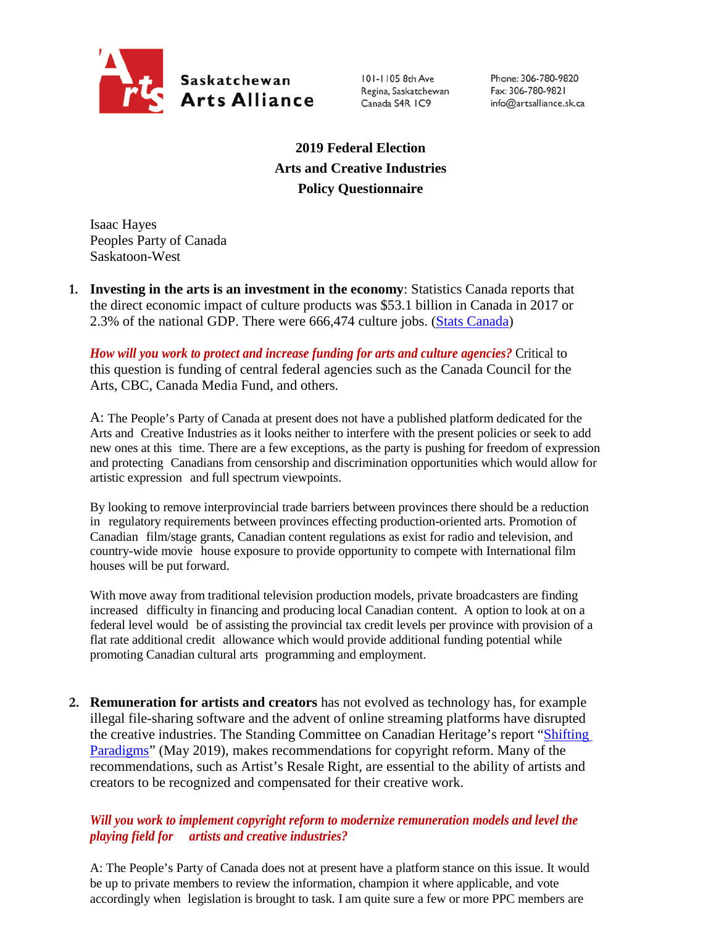

101-1105 8th Ave Regina, Saskatchewan Canada S4R IC9

Phone: 306-780-9820 Fax: 306-780-9821 info@artsalliance.sk.ca

**2019 Federal Election Arts and Creative Industries Policy Questionnaire**

Isaac Hayes Peoples Party of Canada Saskatoon-West

**1. Investing in the arts is an investment in the economy**: Statistics Canada reports that the direct economic impact of culture products was \$53.1 billion in Canada in 2017 or 2.3% of the national GDP. There were 666,474 culture jobs. [\(Stats Canada\)](https://www.canada.ca/en/canadian-heritage/corporate/publications/general-publications/culture-satellite-account.html#a4-3)

*How will you work to protect and increase funding for arts and culture agencies?* Critical to this question is funding of central federal agencies such as the Canada Council for the Arts, CBC, Canada Media Fund, and others.

A: The People's Party of Canada at present does not have a published platform dedicated for the Arts and Creative Industries as it looks neither to interfere with the present policies or seek to add new ones at this time. There are a few exceptions, as the party is pushing for freedom of expression and protecting Canadians from censorship and discrimination opportunities which would allow for artistic expression and full spectrum viewpoints.

By looking to remove interprovincial trade barriers between provinces there should be a reduction in regulatory requirements between provinces effecting production-oriented arts. Promotion of Canadian film/stage grants, Canadian content regulations as exist for radio and television, and country-wide movie house exposure to provide opportunity to compete with International film houses will be put forward.

With move away from traditional television production models, private broadcasters are finding increased difficulty in financing and producing local Canadian content. A option to look at on a federal level would be of assisting the provincial tax credit levels per province with provision of a flat rate additional credit allowance which would provide additional funding potential while promoting Canadian cultural arts programming and employment.

**2. Remuneration for artists and creators** has not evolved as technology has, for example illegal file-sharing software and the advent of online streaming platforms have disrupted the creative industries. The Standing Committee on Canadian Heritage's report ["Shifting](https://www.ourcommons.ca/Content/Committee/421/CHPC/Reports/RP10481650/chpcrp19/chpcrp19-e.pdf)  [Paradigms"](https://www.ourcommons.ca/Content/Committee/421/CHPC/Reports/RP10481650/chpcrp19/chpcrp19-e.pdf) (May 2019), makes recommendations for copyright reform. Many of the recommendations, such as Artist's Resale Right, are essential to the ability of artists and creators to be recognized and compensated for their creative work.

## *Will you work to implement copyright reform to modernize remuneration models and level the playing field for artists and creative industries?*

A: The People's Party of Canada does not at present have a platform stance on this issue. It would be up to private members to review the information, champion it where applicable, and vote accordingly when legislation is brought to task. I am quite sure a few or more PPC members are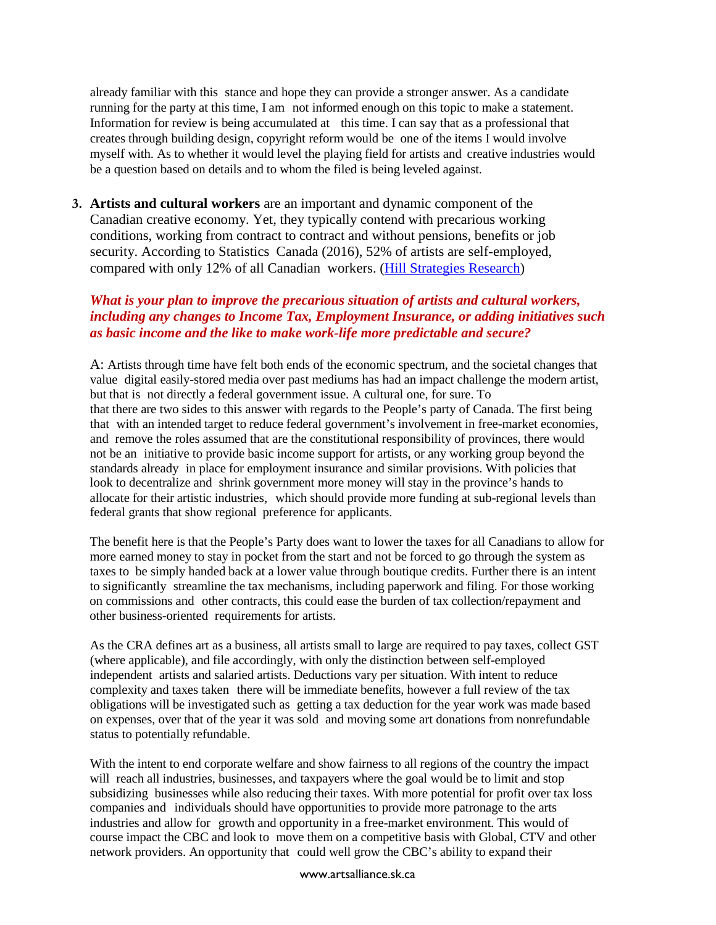already familiar with this stance and hope they can provide a stronger answer. As a candidate running for the party at this time, I am not informed enough on this topic to make a statement. Information for review is being accumulated at this time. I can say that as a professional that creates through building design, copyright reform would be one of the items I would involve myself with. As to whether it would level the playing field for artists and creative industries would be a question based on details and to whom the filed is being leveled against.

**3. Artists and cultural workers** are an important and dynamic component of the Canadian creative economy. Yet, they typically contend with precarious working conditions, working from contract to contract and without pensions, benefits or job security. According to Statistics Canada (2016), 52% of artists are self-employed, compared with only 12% of all Canadian workers. [\(Hill Strategies Research\)](https://hillstrategies.com/2019/07/31/a-statistical-profile-of-artists-in-canada-in-2016-with-summary-information-about-cultural-workers/)

## *What is your plan to improve the precarious situation of artists and cultural workers, including any changes to Income Tax, Employment Insurance, or adding initiatives such as basic income and the like to make work-life more predictable and secure?*

A: Artists through time have felt both ends of the economic spectrum, and the societal changes that value digital easily-stored media over past mediums has had an impact challenge the modern artist, but that is not directly a federal government issue. A cultural one, for sure. To that there are two sides to this answer with regards to the People's party of Canada. The first being that with an intended target to reduce federal government's involvement in free-market economies, and remove the roles assumed that are the constitutional responsibility of provinces, there would not be an initiative to provide basic income support for artists, or any working group beyond the standards already in place for employment insurance and similar provisions. With policies that look to decentralize and shrink government more money will stay in the province's hands to allocate for their artistic industries, which should provide more funding at sub-regional levels than federal grants that show regional preference for applicants.

The benefit here is that the People's Party does want to lower the taxes for all Canadians to allow for more earned money to stay in pocket from the start and not be forced to go through the system as taxes to be simply handed back at a lower value through boutique credits. Further there is an intent to significantly streamline the tax mechanisms, including paperwork and filing. For those working on commissions and other contracts, this could ease the burden of tax collection/repayment and other business-oriented requirements for artists.

As the CRA defines art as a business, all artists small to large are required to pay taxes, collect GST (where applicable), and file accordingly, with only the distinction between self-employed independent artists and salaried artists. Deductions vary per situation. With intent to reduce complexity and taxes taken there will be immediate benefits, however a full review of the tax obligations will be investigated such as getting a tax deduction for the year work was made based on expenses, over that of the year it was sold and moving some art donations from nonrefundable status to potentially refundable.

With the intent to end corporate welfare and show fairness to all regions of the country the impact will reach all industries, businesses, and taxpayers where the goal would be to limit and stop subsidizing businesses while also reducing their taxes. With more potential for profit over tax loss companies and individuals should have opportunities to provide more patronage to the arts industries and allow for growth and opportunity in a free-market environment. This would of course impact the CBC and look to move them on a competitive basis with Global, CTV and other network providers. An opportunity that could well grow the CBC's ability to expand their

## www.artsalliance.sk.ca